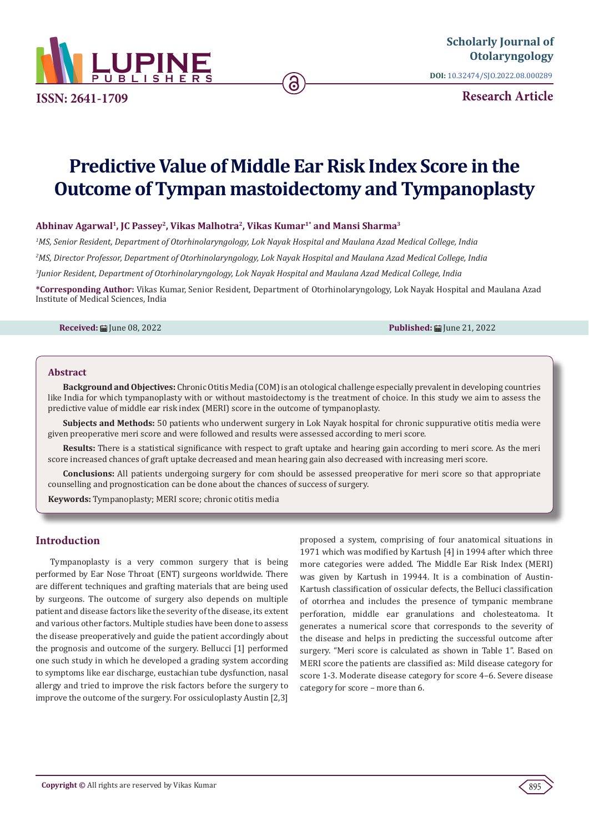

**ISSN: 2641-1709**

**DOI:** [10.32474/SJO.2022.08.000289](http://dx.doi.org/10.32474/SJO.2022.08.000289)

**Research Article**

# **Predictive Value of Middle Ear Risk Index Score in the Outcome of Tympan mastoidectomy and Tympanoplasty**

ခ

#### **Abhinav Agarwal1, JC Passey2, Vikas Malhotra2, Vikas Kumar1\* and Mansi Sharma3**

*1 MS, Senior Resident, Department of Otorhinolaryngology, Lok Nayak Hospital and Maulana Azad Medical College, India 2 MS, Director Professor, Department of Otorhinolaryngology, Lok Nayak Hospital and Maulana Azad Medical College, India 3 Junior Resident, Department of Otorhinolaryngology, Lok Nayak Hospital and Maulana Azad Medical College, India*

**\*Corresponding Author:** Vikas Kumar, Senior Resident, Department of Otorhinolaryngology, Lok Nayak Hospital and Maulana Azad Institute of Medical Sciences, India

**Received:** 前 Iune 08, 2022 **Published:** 前 Iune 21, 2022

#### **Abstract**

**Background and Objectives:** Chronic Otitis Media (COM) is an otological challenge especially prevalent in developing countries like India for which tympanoplasty with or without mastoidectomy is the treatment of choice. In this study we aim to assess the predictive value of middle ear risk index (MERI) score in the outcome of tympanoplasty.

**Subjects and Methods:** 50 patients who underwent surgery in Lok Nayak hospital for chronic suppurative otitis media were given preoperative meri score and were followed and results were assessed according to meri score.

**Results:** There is a statistical significance with respect to graft uptake and hearing gain according to meri score. As the meri score increased chances of graft uptake decreased and mean hearing gain also decreased with increasing meri score.

**Conclusions:** All patients undergoing surgery for com should be assessed preoperative for meri score so that appropriate counselling and prognostication can be done about the chances of success of surgery.

**Keywords:** Tympanoplasty; MERI score; chronic otitis media

# **Introduction**

Tympanoplasty is a very common surgery that is being performed by Ear Nose Throat (ENT) surgeons worldwide. There are different techniques and grafting materials that are being used by surgeons. The outcome of surgery also depends on multiple patient and disease factors like the severity of the disease, its extent and various other factors. Multiple studies have been done to assess the disease preoperatively and guide the patient accordingly about the prognosis and outcome of the surgery. Bellucci [1] performed one such study in which he developed a grading system according to symptoms like ear discharge, eustachian tube dysfunction, nasal allergy and tried to improve the risk factors before the surgery to improve the outcome of the surgery. For ossiculoplasty Austin [2,3]

proposed a system, comprising of four anatomical situations in 1971 which was modified by Kartush [4] in 1994 after which three more categories were added. The Middle Ear Risk Index (MERI) was given by Kartush in 19944. It is a combination of Austin-Kartush classification of ossicular defects, the Belluci classification of otorrhea and includes the presence of tympanic membrane perforation, middle ear granulations and cholesteatoma. It generates a numerical score that corresponds to the severity of the disease and helps in predicting the successful outcome after surgery. "Meri score is calculated as shown in Table 1". Based on MERI score the patients are classified as: Mild disease category for score 1-3. Moderate disease category for score 4–6. Severe disease category for score – more than 6.

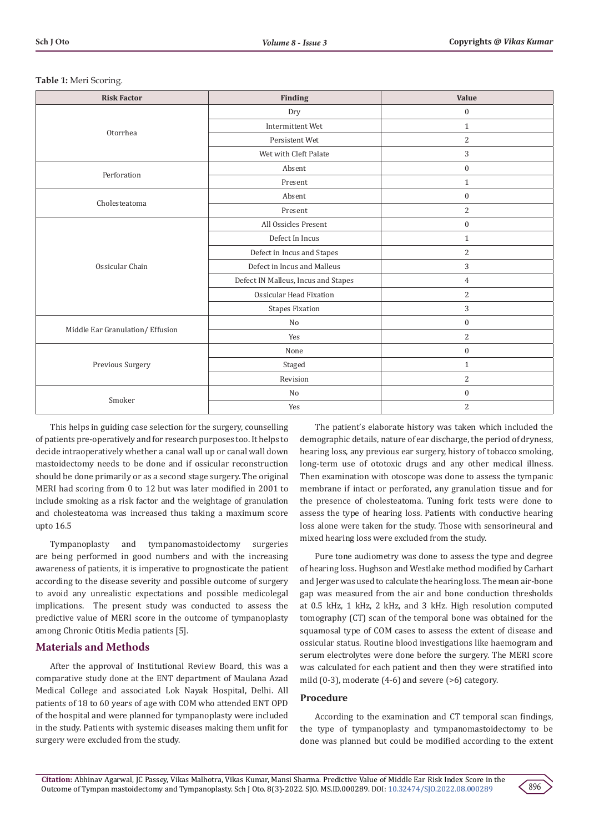| <b>Risk Factor</b>               | Finding                             | Value            |
|----------------------------------|-------------------------------------|------------------|
|                                  | Dry                                 | $\boldsymbol{0}$ |
|                                  | Intermittent Wet                    | $\mathbf{1}$     |
| Otorrhea                         | Persistent Wet                      | $\sqrt{2}$       |
|                                  | Wet with Cleft Palate               | $\sqrt{3}$       |
| Perforation                      | Absent                              | $\boldsymbol{0}$ |
|                                  | Present                             | $\mathbf{1}$     |
| Cholesteatoma                    | Absent                              | $\mathbf{0}$     |
|                                  | Present                             | 2                |
|                                  | All Ossicles Present                | $\boldsymbol{0}$ |
|                                  | Defect In Incus                     | $\mathbf{1}$     |
|                                  | Defect in Incus and Stapes          | 2                |
| Ossicular Chain                  | Defect in Incus and Malleus         | $\sqrt{3}$       |
|                                  | Defect IN Malleus, Incus and Stapes | $\overline{4}$   |
|                                  | Ossicular Head Fixation             | $\overline{2}$   |
|                                  | <b>Stapes Fixation</b>              | 3                |
|                                  | No                                  | $\boldsymbol{0}$ |
| Middle Ear Granulation/ Effusion | Yes                                 | $\overline{2}$   |
|                                  | None                                | $\mathbf{0}$     |
| Previous Surgery                 | Staged                              | $\mathbf{1}$     |
|                                  | Revision                            | 2                |
| Smoker                           | No                                  | $\boldsymbol{0}$ |
|                                  | Yes                                 | $\overline{2}$   |

#### **Table 1:** Meri Scoring.

This helps in guiding case selection for the surgery, counselling of patients pre-operatively and for research purposes too. It helps to decide intraoperatively whether a canal wall up or canal wall down mastoidectomy needs to be done and if ossicular reconstruction should be done primarily or as a second stage surgery. The original MERI had scoring from 0 to 12 but was later modified in 2001 to include smoking as a risk factor and the weightage of granulation and cholesteatoma was increased thus taking a maximum score upto 16.5

Tympanoplasty and tympanomastoidectomy surgeries are being performed in good numbers and with the increasing awareness of patients, it is imperative to prognosticate the patient according to the disease severity and possible outcome of surgery to avoid any unrealistic expectations and possible medicolegal implications. The present study was conducted to assess the predictive value of MERI score in the outcome of tympanoplasty among Chronic Otitis Media patients [5].

#### **Materials and Methods**

After the approval of Institutional Review Board, this was a comparative study done at the ENT department of Maulana Azad Medical College and associated Lok Nayak Hospital, Delhi. All patients of 18 to 60 years of age with COM who attended ENT OPD of the hospital and were planned for tympanoplasty were included in the study. Patients with systemic diseases making them unfit for surgery were excluded from the study.

The patient's elaborate history was taken which included the demographic details, nature of ear discharge, the period of dryness, hearing loss, any previous ear surgery, history of tobacco smoking, long-term use of ototoxic drugs and any other medical illness. Then examination with otoscope was done to assess the tympanic membrane if intact or perforated, any granulation tissue and for the presence of cholesteatoma. Tuning fork tests were done to assess the type of hearing loss. Patients with conductive hearing loss alone were taken for the study. Those with sensorineural and mixed hearing loss were excluded from the study.

Pure tone audiometry was done to assess the type and degree of hearing loss. Hughson and Westlake method modified by Carhart and Jerger was used to calculate the hearing loss. The mean air-bone gap was measured from the air and bone conduction thresholds at 0.5 kHz, 1 kHz, 2 kHz, and 3 kHz. High resolution computed tomography (CT) scan of the temporal bone was obtained for the squamosal type of COM cases to assess the extent of disease and ossicular status. Routine blood investigations like haemogram and serum electrolytes were done before the surgery. The MERI score was calculated for each patient and then they were stratified into mild (0-3), moderate (4-6) and severe (>6) category.

#### **Procedure**

According to the examination and CT temporal scan findings, the type of tympanoplasty and tympanomastoidectomy to be done was planned but could be modified according to the extent

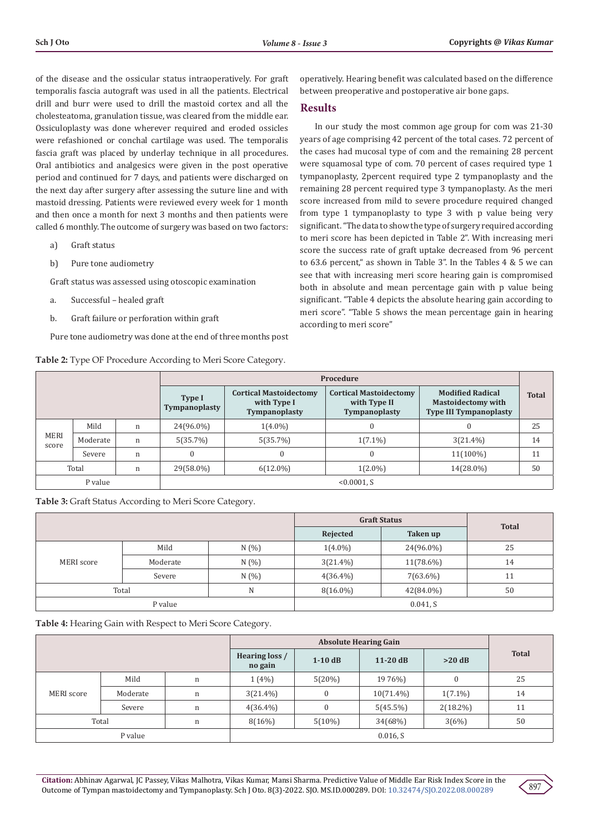of the disease and the ossicular status intraoperatively. For graft temporalis fascia autograft was used in all the patients. Electrical drill and burr were used to drill the mastoid cortex and all the cholesteatoma, granulation tissue, was cleared from the middle ear. Ossiculoplasty was done wherever required and eroded ossicles were refashioned or conchal cartilage was used. The temporalis fascia graft was placed by underlay technique in all procedures. Oral antibiotics and analgesics were given in the post operative period and continued for 7 days, and patients were discharged on the next day after surgery after assessing the suture line and with mastoid dressing. Patients were reviewed every week for 1 month and then once a month for next 3 months and then patients were called 6 monthly. The outcome of surgery was based on two factors:

- a) Graft status
- b) Pure tone audiometry

Graft status was assessed using otoscopic examination

- a. Successful healed graft
- b. Graft failure or perforation within graft

Pure tone audiometry was done at the end of three months post

**Table 2:** Type OF Procedure According to Meri Score Category.

operatively. Hearing benefit was calculated based on the difference between preoperative and postoperative air bone gaps.

### **Results**

In our study the most common age group for com was 21-30 years of age comprising 42 percent of the total cases. 72 percent of the cases had mucosal type of com and the remaining 28 percent were squamosal type of com. 70 percent of cases required type 1 tympanoplasty, 2percent required type 2 tympanoplasty and the remaining 28 percent required type 3 tympanoplasty. As the meri score increased from mild to severe procedure required changed from type 1 tympanoplasty to type 3 with p value being very significant. "The data to show the type of surgery required according to meri score has been depicted in Table 2". With increasing meri score the success rate of graft uptake decreased from 96 percent to 63.6 percent," as shown in Table 3". In the Tables 4 & 5 we can see that with increasing meri score hearing gain is compromised both in absolute and mean percentage gain with p value being significant. "Table 4 depicts the absolute hearing gain according to meri score". "Table 5 shows the mean percentage gain in hearing according to meri score"

|                      |          | Procedure                      |                                                                      |                                                                |                                                                                       |              |    |
|----------------------|----------|--------------------------------|----------------------------------------------------------------------|----------------------------------------------------------------|---------------------------------------------------------------------------------------|--------------|----|
|                      |          | <b>Type I</b><br>Tympanoplasty | <b>Cortical Mastoidectomy</b><br>with Type I<br><b>Tympanoplasty</b> | <b>Cortical Mastoidectomy</b><br>with Type II<br>Tympanoplasty | <b>Modified Radical</b><br><b>Mastoidectomy with</b><br><b>Type III Tympanoplasty</b> | <b>Total</b> |    |
|                      | Mild     | n                              | 24(96.0%)                                                            | $1(4.0\%)$                                                     | 0                                                                                     | $\Omega$     | 25 |
| <b>MERI</b><br>score | Moderate | $\mathbf n$                    | 5(35.7%)                                                             | 5(35.7%)                                                       | $1(7.1\%)$                                                                            | $3(21.4\%)$  | 14 |
|                      | Severe   | n                              | $\mathbf{0}$                                                         | $\Omega$                                                       | $\mathbf{0}$                                                                          | 11(100%)     | 11 |
|                      | Total    | n                              | 29(58.0%)                                                            | $6(12.0\%)$                                                    | $1(2.0\%)$                                                                            | 14(28.0%)    | 50 |
|                      | P value  | $< 0.0001$ , S                 |                                                                      |                                                                |                                                                                       |              |    |

**Table 3:** Graft Status According to Meri Score Category.

|            |          |       | <b>Graft Status</b> |           |              |
|------------|----------|-------|---------------------|-----------|--------------|
|            |          |       | Rejected            | Taken up  | <b>Total</b> |
|            | Mild     | N(%   | $1(4.0\%)$          | 24(96.0%) | 25           |
| MERI score | Moderate | N(%   | $3(21.4\%)$         | 11(78.6%) | 14           |
|            | Severe   | N (%) | $4(36.4\%)$         | 7(63.6%)  | 11           |
| Total<br>N |          |       | $8(16.0\%)$         | 42(84.0%) | 50           |
| P value    |          |       | 0.041, S            |           |              |

**Table 4:** Hearing Gain with Respect to Meri Score Category.

|            |          | <b>Absolute Hearing Gain</b> |             |            |              |              |    |
|------------|----------|------------------------------|-------------|------------|--------------|--------------|----|
|            |          | Hearing loss /<br>no gain    | $1-10$ dB   | $11-20$ dB | $>20$ dB     | <b>Total</b> |    |
|            | Mild     | n                            | $1(4\%)$    | 5(20%)     | 19 76%)      |              | 25 |
| MERI score | Moderate | n                            | $3(21.4\%)$ | 0          | $10(71.4\%)$ | $1(7.1\%)$   | 14 |
|            | Severe   | n                            | $4(36.4\%)$ | 0          | $5(45.5\%)$  | $2(18.2\%)$  | 11 |
| Total<br>n |          | 8(16%)                       | $5(10\%)$   | 34(68%)    | 3(6%)        | 50           |    |
| P value    |          | 0.016, S                     |             |            |              |              |    |

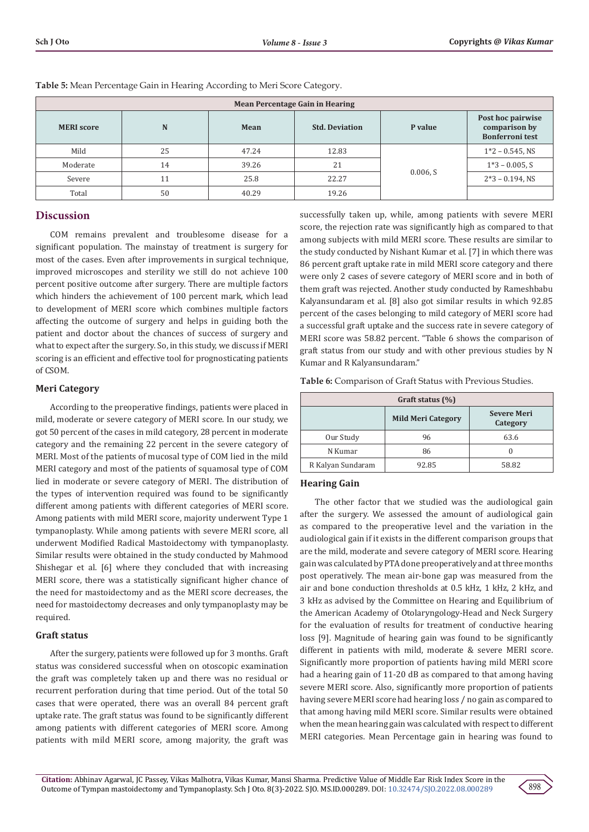| <b>Mean Percentage Gain in Hearing</b> |    |       |                       |          |                                                              |
|----------------------------------------|----|-------|-----------------------|----------|--------------------------------------------------------------|
| <b>MERI</b> score                      | N  | Mean  | <b>Std. Deviation</b> | P value  | Post hoc pairwise<br>comparison by<br><b>Bonferroni</b> test |
| Mild                                   | 25 | 47.24 | 12.83                 |          | $1*2 - 0.545$ , NS                                           |
| Moderate                               | 14 | 39.26 | 21                    | 0.006, S | $1*3 - 0.005$ , S                                            |
| Severe                                 | 11 | 25.8  | 22.27                 |          | $2*3 - 0.194$ , NS                                           |
| Total                                  | 50 | 40.29 | 19.26                 |          |                                                              |

**Table 5:** Mean Percentage Gain in Hearing According to Meri Score Category.

#### **Discussion**

COM remains prevalent and troublesome disease for a significant population. The mainstay of treatment is surgery for most of the cases. Even after improvements in surgical technique, improved microscopes and sterility we still do not achieve 100 percent positive outcome after surgery. There are multiple factors which hinders the achievement of 100 percent mark, which lead to development of MERI score which combines multiple factors affecting the outcome of surgery and helps in guiding both the patient and doctor about the chances of success of surgery and what to expect after the surgery. So, in this study, we discuss if MERI scoring is an efficient and effective tool for prognosticating patients of CSOM.

#### **Meri Category**

According to the preoperative findings, patients were placed in mild, moderate or severe category of MERI score. In our study, we got 50 percent of the cases in mild category, 28 percent in moderate category and the remaining 22 percent in the severe category of MERI. Most of the patients of mucosal type of COM lied in the mild MERI category and most of the patients of squamosal type of COM lied in moderate or severe category of MERI. The distribution of the types of intervention required was found to be significantly different among patients with different categories of MERI score. Among patients with mild MERI score, majority underwent Type 1 tympanoplasty. While among patients with severe MERI score, all underwent Modified Radical Mastoidectomy with tympanoplasty. Similar results were obtained in the study conducted by Mahmood Shishegar et al. [6] where they concluded that with increasing MERI score, there was a statistically significant higher chance of the need for mastoidectomy and as the MERI score decreases, the need for mastoidectomy decreases and only tympanoplasty may be required.

#### **Graft status**

After the surgery, patients were followed up for 3 months. Graft status was considered successful when on otoscopic examination the graft was completely taken up and there was no residual or recurrent perforation during that time period. Out of the total 50 cases that were operated, there was an overall 84 percent graft uptake rate. The graft status was found to be significantly different among patients with different categories of MERI score. Among patients with mild MERI score, among majority, the graft was

successfully taken up, while, among patients with severe MERI score, the rejection rate was significantly high as compared to that among subjects with mild MERI score. These results are similar to the study conducted by Nishant Kumar et al. [7] in which there was 86 percent graft uptake rate in mild MERI score category and there were only 2 cases of severe category of MERI score and in both of them graft was rejected. Another study conducted by Rameshbabu Kalyansundaram et al. [8] also got similar results in which 92.85 percent of the cases belonging to mild category of MERI score had a successful graft uptake and the success rate in severe category of MERI score was 58.82 percent. "Table 6 shows the comparison of graft status from our study and with other previous studies by N Kumar and R Kalyansundaram."

**Table 6:** Comparison of Graft Status with Previous Studies.

| Graft status $(\%)$ |                                                             |       |  |  |
|---------------------|-------------------------------------------------------------|-------|--|--|
|                     | <b>Severe Meri</b><br><b>Mild Meri Category</b><br>Category |       |  |  |
| Our Study           | 96                                                          | 63.6  |  |  |
| N Kumar             | 86                                                          |       |  |  |
| R Kalyan Sundaram   | 92.85                                                       | 58.82 |  |  |

#### **Hearing Gain**

The other factor that we studied was the audiological gain after the surgery. We assessed the amount of audiological gain as compared to the preoperative level and the variation in the audiological gain if it exists in the different comparison groups that are the mild, moderate and severe category of MERI score. Hearing gain was calculated by PTA done preoperatively and at three months post operatively. The mean air-bone gap was measured from the air and bone conduction thresholds at 0.5 kHz, 1 kHz, 2 kHz, and 3 kHz as advised by the Committee on Hearing and Equilibrium of the American Academy of Otolaryngology-Head and Neck Surgery for the evaluation of results for treatment of conductive hearing loss [9]. Magnitude of hearing gain was found to be significantly different in patients with mild, moderate & severe MERI score. Significantly more proportion of patients having mild MERI score had a hearing gain of 11-20 dB as compared to that among having severe MERI score. Also, significantly more proportion of patients having severe MERI score had hearing loss / no gain as compared to that among having mild MERI score. Similar results were obtained when the mean hearing gain was calculated with respect to different MERI categories. Mean Percentage gain in hearing was found to